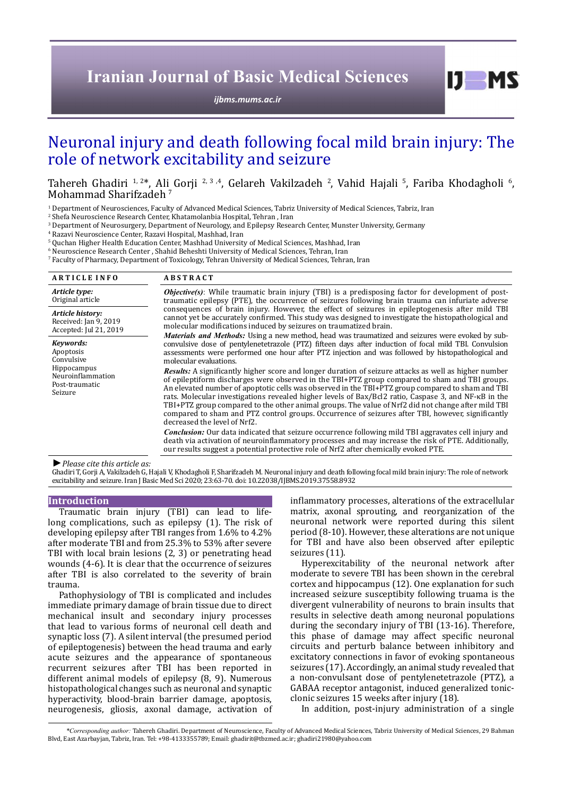# **Iranian Journal of Basic Medical Sciences**

*[ijbms.mums.ac.ir](http://ijbms.mums.ac.ir)*

# Neuronal injury and death following focal mild brain injury: The role of network excitability and seizure

Tahereh Ghadiri <sup>1, 2\*</sup>, Ali Gorji <sup>2, 3 ,4</sup>, Gelareh Vakilzadeh <sup>2</sup>, Vahid Hajali <sup>5</sup>, Fariba Khodagholi <sup>6</sup>,<br>Mohammad Sharifzadeh <sup>7</sup>

<sup>1</sup> Department of Neurosciences, Faculty of Advanced Medical Sciences, Tabriz University of Medical Sciences, Tabriz, Iran

2 Shefa Neuroscience Research Center, Khatamolanbia Hospital, Tehran , Iran

3 Department of Neurosurgery, Department of Neurology, and Epilepsy Research Center, Munster University, Germany

4 Razavi Neuroscience Center, Razavi Hospital, Mashhad, Iran

 $^{\rm 5}$  Quchan Higher Health Education Center, Mashhad University of Medical Sciences, Mashhad, Iran

6 Neuroscience Research Center , Shahid Beheshti University of Medical Sciences, Tehran, Iran

7 Faculty of Pharmacy, Department of Toxicology, Tehran University of Medical Sciences, Tehran, Iran

| <b>ARTICLE INFO</b>                                                                                   | <b>ABSTRACT</b>                                                                                                                                                                                                                                                                                                                                                                                                                                                                                                                                                                                                                                                                |
|-------------------------------------------------------------------------------------------------------|--------------------------------------------------------------------------------------------------------------------------------------------------------------------------------------------------------------------------------------------------------------------------------------------------------------------------------------------------------------------------------------------------------------------------------------------------------------------------------------------------------------------------------------------------------------------------------------------------------------------------------------------------------------------------------|
| Article type:<br>Original article                                                                     | <b><i>Objective(s)</i></b> : While traumatic brain injury (TBI) is a predisposing factor for development of post-<br>traumatic epilepsy (PTE), the occurrence of seizures following brain trauma can infuriate adverse                                                                                                                                                                                                                                                                                                                                                                                                                                                         |
| Article history:<br>Received: Jan 9, 2019<br>Accepted: Jul 21, 2019                                   | consequences of brain injury. However, the effect of seizures in epileptogenesis after mild TBI<br>cannot yet be accurately confirmed. This study was designed to investigate the histopathological and<br>molecular modifications induced by seizures on traumatized brain.                                                                                                                                                                                                                                                                                                                                                                                                   |
| Keywords:<br>Apoptosis<br>Convulsive<br>Hippocampus<br>Neuroinflammation<br>Post-traumatic<br>Seizure | <i>Materials and Methods:</i> Using a new method, head was traumatized and seizures were evoked by sub-<br>convulsive dose of pentylenetetrazole (PTZ) fifteen days after induction of focal mild TBI. Convulsion<br>assessments were performed one hour after PTZ injection and was followed by histopathological and<br>molecular evaluations.                                                                                                                                                                                                                                                                                                                               |
|                                                                                                       | <b>Results:</b> A significantly higher score and longer duration of seizure attacks as well as higher number<br>of epileptiform discharges were observed in the TBI+PTZ group compared to sham and TBI groups.<br>An elevated number of apoptotic cells was observed in the TBI+PTZ group compared to sham and TBI<br>rats. Molecular investigations revealed higher levels of Bax/Bcl2 ratio, Caspase 3, and NF- $\kappa$ B in the<br>TBI+PTZ group compared to the other animal groups. The value of Nrf2 did not change after mild TBI<br>compared to sham and PTZ control groups. Occurrence of seizures after TBI, however, significantly<br>decreased the level of Nrf2. |
|                                                                                                       | <b>Conclusion:</b> Our data indicated that seizure occurrence following mild TBI aggravates cell injury and<br>death via activation of neuroinflammatory processes and may increase the risk of PTE. Additionally,<br>our results suggest a potential protective role of Nrf2 after chemically evoked PTE.                                                                                                                                                                                                                                                                                                                                                                     |
|                                                                                                       |                                                                                                                                                                                                                                                                                                                                                                                                                                                                                                                                                                                                                                                                                |

*►Please cite this article as:*

Ghadiri T, Gorji A, Vakilzadeh G, Hajali V, Khodagholi F, Sharifzadeh M. Neuronal injury and death following focal mild brain injury: The role of network excitability and seizure. Iran J Basic Med Sci 2020; 23:63-70. doi: 10.22038/IJBMS.2019.37558.8932

### **Introduction**

Traumatic brain injury (TBI) can lead to lifelong complications, such as epilepsy (1). The risk of developing epilepsy after TBI ranges from 1.6% to 4.2% after moderate TBI and from 25.3% to 53% after severe TBI with local brain lesions (2, 3) or penetrating head wounds (4-6). It is clear that the occurrence of seizures after TBI is also correlated to the severity of brain trauma.

Pathophysiology of TBI is complicated and includes immediate primary damage of brain tissue due to direct mechanical insult and secondary injury processes that lead to various forms of neuronal cell death and synaptic loss (7). A silent interval (the presumed period of epileptogenesis) between the head trauma and early acute seizures and the appearance of spontaneous recurrent seizures after TBI has been reported in different animal models of epilepsy (8, 9). Numerous histopathological changes such as neuronal and synaptic hyperactivity, blood-brain barrier damage, apoptosis, neurogenesis, gliosis, axonal damage, activation of

inflammatory processes, alterations of the extracellular matrix, axonal sprouting, and reorganization of the neuronal network were reported during this silent period (8-10). However, these alterations are not unique for TBI and have also been observed after epileptic seizures (11).

 $I$   $I$   $M$   $S$ 

Hyperexcitability of the neuronal network after moderate to severe TBI has been shown in the cerebral cortex and hippocampus (12). One explanation for such increased seizure susceptibity following truama is the divergent vulnerability of neurons to brain insults that results in selective death among neuronal populations during the secondary injury of TBI (13-16). Therefore, this phase of damage may affect specific neuronal circuits and perturb balance between inhibitory and excitatory connections in favor of evoking spontaneous seizures (17). Accordingly, an animal study revealed that a non-convulsant dose of pentylenetetrazole (PTZ), a GABAA receptor antagonist, induced generalized tonicclonic seizures 15 weeks after injury (18).

In addition, post-injury administration of a single

*\*Corresponding author:* Tahereh Ghadiri. Department of Neuroscience, Faculty of Advanced Medical Sciences, Tabriz University of Medical Sciences, 29 Bahman Blvd, East Azarbayjan, Tabriz, Iran. Tel: +98-4133355789; Email: ghadirit@tbzmed.ac.ir; ghadiri21980@yahoo.com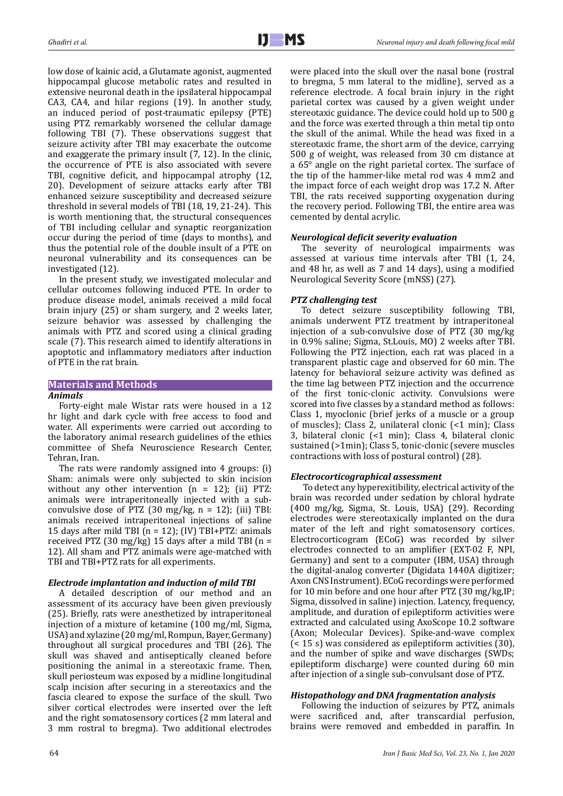low dose of kainic acid, a Glutamate agonist, augmented hippocampal glucose metabolic rates and resulted in extensive neuronal death in the ipsilateral hippocampal CA3, CA4, and hilar regions (19). In another study, an induced period of post-traumatic epilepsy (PTE) using PTZ remarkably worsened the cellular damage following TBI (7). These observations suggest that seizure activity after TBI may exacerbate the outcome and exaggerate the primary insult (7, 12). In the clinic, the occurrence of PTE is also associated with severe TBI, cognitive deficit, and hippocampal atrophy (12, 20). Development of seizure attacks early after TBI enhanced seizure susceptibility and decreased seizure threshold in several models of TBI (18, 19, 21-24). This is worth mentioning that, the structural consequences of TBI including cellular and synaptic reorganization occur during the period of time (days to months), and thus the potential role of the double insult of a PTE on neuronal vulnerability and its consequences can be investigated (12).

In the present study, we investigated molecular and cellular outcomes following induced PTE. In order to produce disease model, animals received a mild focal brain injury (25) or sham surgery, and 2 weeks later, seizure behavior was assessed by challenging the animals with PTZ and scored using a clinical grading scale (7). This research aimed to identify alterations in apoptotic and inflammatory mediators after induction of PTE in the rat brain.

# **Materials and Methods**

### *Animals*

Forty-eight male Wistar rats were housed in a 12 hr light and dark cycle with free access to food and water. All experiments were carried out according to the laboratory animal research guidelines of the ethics committee of Shefa Neuroscience Research Center, Tehran, Iran.

The rats were randomly assigned into 4 groups: (i) Sham: animals were only subjected to skin incision without any other intervention  $(n = 12)$ ; (ii) PTZ: animals were intraperitoneally injected with a subconvulsive dose of PTZ  $(30 \text{ mg/kg}, n = 12)$ ;  $(iii)$  TBI: animals received intraperitoneal injections of saline 15 days after mild TBI  $(n = 12)$ ;  $(IV)$  TBI+PTZ: animals received PTZ (30 mg/kg) 15 days after a mild TBI ( $n =$ 12). All sham and PTZ animals were age-matched with TBI and TBI+PTZ rats for all experiments.

# *Electrode implantation and induction of mild TBI*

A detailed description of our method and an assessment of its accuracy have been given previously (25). Briefly, rats were anesthetized by intraperitoneal injection of a mixture of ketamine (100 mg/ml, Sigma, USA) and xylazine (20 mg/ml, Rompun, Bayer, Germany) throughout all surgical procedures and TBI (26). The skull was shaved and antiseptically cleaned before positioning the animal in a stereotaxic frame. Then, skull periosteum was exposed by a midline longitudinal scalp incision after securing in a stereotaxics and the fascia cleared to expose the surface of the skull. Two silver cortical electrodes were inserted over the left and the right somatosensory cortices (2 mm lateral and 3 mm rostral to bregma). Two additional electrodes

were placed into the skull over the nasal bone (rostral to bregma, 5 mm lateral to the midline), served as a reference electrode. A focal brain injury in the right parietal cortex was caused by a given weight under stereotaxic guidance. The device could hold up to 500 g and the force was exerted through a thin metal tip onto the skull of the animal. While the head was fixed in a stereotaxic frame, the short arm of the device, carrying 500 g of weight, was released from 30 cm distance at a 65° angle on the right parietal cortex. The surface of the tip of the hammer-like metal rod was 4 mm2 and the impact force of each weight drop was 17.2 N. After TBI, the rats received supporting oxygenation during the recovery period. Following TBI, the entire area was cemented by dental acrylic.

## *Neurological deficit severity evaluation*

The severity of neurological impairments was assessed at various time intervals after TBI (1, 24, and 48 hr, as well as 7 and 14 days), using a modified Neurological Severity Score (mNSS) (27).

## *PTZ challenging test*

To detect seizure susceptibility following TBI, animals underwent PTZ treatment by intraperitoneal injection of a sub-convulsive dose of PTZ (30 mg/kg in 0.9% saline; Sigma, St.Louis, MO) 2 weeks after TBI. Following the PTZ injection, each rat was placed in a transparent plastic cage and observed for 60 min. The latency for behavioral seizure activity was defined as the time lag between PTZ injection and the occurrence of the first tonic-clonic activity. Convulsions were scored into five classes by a standard method as follows: Class 1, myoclonic (brief jerks of a muscle or a group of muscles); Class 2, unilateral clonic (<1 min); Class 3, bilateral clonic (<1 min); Class 4, bilateral clonic sustained (>1min); Class 5, tonic-clonic (severe muscles contractions with loss of postural control) (28).

### *Electrocorticographical assessment*

 To detect any hyperexitibility, electrical activity of the brain was recorded under sedation by chloral hydrate (400 mg/kg, Sigma, St. Louis, USA) (29). Recording electrodes were stereotaxically implanted on the dura mater of the left and right somatosensory cortices. Electrocorticogram (ECoG) was recorded by silver electrodes connected to an amplifier (EXT-02 F, NPI, Germany) and sent to a computer (IBM, USA) through the digital-analog converter (Digidata 1440A digitizer; Axon CNS Instrument). ECoG recordings were performed for 10 min before and one hour after PTZ (30 mg/kg,IP; Sigma, dissolved in saline) injection. Latency, frequency, amplitude, and duration of epileptiform activities were extracted and calculated using AxoScope 10.2 software (Axon; Molecular Devices). Spike-and-wave complex (< 15 s) was considered as epileptiform activities (30), and the number of spike and wave discharges (SWDs; epileptiform discharge) were counted during 60 min after injection of a single sub-convulsant dose of PTZ.

# *Histopathology and DNA fragmentation analysis*

Following the induction of seizures by PTZ, animals were sacrificed and, after transcardial perfusion, brains were removed and embedded in paraffin. In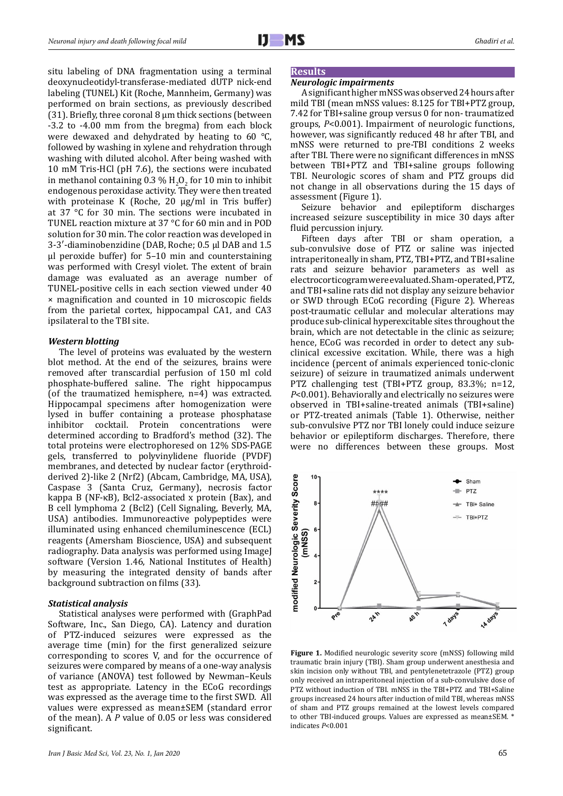situ labeling of DNA fragmentation using a terminal deoxynucleotidyl-transferase-mediated dUTP nick-end labeling (TUNEL) Kit (Roche, Mannheim, Germany) was performed on brain sections, as previously described (31). Briefly, three coronal 8 μm thick sections (between -3.2 to -4.00 mm from the bregma) from each block were dewaxed and dehydrated by heating to 60 °C, followed by washing in xylene and rehydration through washing with diluted alcohol. After being washed with 10 mM Tris-HCl (pH 7.6), the sections were incubated in methanol containing  $0.3\%$  H<sub>2</sub>O<sub>2</sub> for 10 min to inhibit endogenous peroxidase activity. They were then treated with proteinase K (Roche, 20 μg/ml in Tris buffer) at 37 °C for 30 min. The sections were incubated in TUNEL reaction mixture at 37 °C for 60 min and in POD solution for 30 min. The color reaction was developed in 3-3′-diaminobenzidine (DAB, Roche; 0.5 μl DAB and 1.5 μl peroxide buffer) for 5–10 min and counterstaining was performed with Cresyl violet. The extent of brain damage was evaluated as an average number of TUNEL-positive cells in each section viewed under 40 × magnification and counted in 10 microscopic fields from the parietal cortex, hippocampal CA1, and CA3 ipsilateral to the TBI site.

### *Western blotting*

The level of proteins was evaluated by the western blot method. At the end of the seizures, brains were removed after transcardial perfusion of 150 ml cold phosphate-buffered saline. The right hippocampus (of the traumatized hemisphere, n=4) was extracted. Hippocampal specimens after homogenization were lysed in buffer containing a protease phosphatase cocktail. Protein concentrations were determined according to Bradford's method (32). The total proteins were electrophoresed on 12% SDS-PAGE gels, transferred to polyvinylidene fluoride (PVDF) membranes, and detected by nuclear factor (erythroidderived 2)-like 2 (Nrf2) (Abcam, Cambridge, MA, USA), Caspase 3 (Santa Cruz, Germany), necrosis factor kappa B (NF-κB), Bcl2-associated x protein (Bax), and B cell lymphoma 2 (Bcl2) (Cell Signaling, Beverly, MA, USA) antibodies. Immunoreactive polypeptides were illuminated using enhanced chemiluminescence (ECL) reagents (Amersham Bioscience, USA) and subsequent radiography. Data analysis was performed using ImageJ software (Version 1.46, National Institutes of Health) by measuring the integrated density of bands after background subtraction on films (33).

### *Statistical analysis*

Statistical analyses were performed with (GraphPad Software, Inc., San Diego, CA). Latency and duration of PTZ-induced seizures were expressed as the average time (min) for the first generalized seizure corresponding to scores V, and for the occurrence of seizures were compared by means of a one-way analysis of variance (ANOVA) test followed by Newman–Keuls test as appropriate. Latency in the ECoG recordings was expressed as the average time to the first SWD. All values were expressed as mean±SEM (standard error of the mean). A *P* value of 0.05 or less was considered significant.

# **Results**

## *Neurologic impairments*

A significant higher mNSS was observed 24 hours after mild TBI (mean mNSS values: 8.125 for TBI+PTZ group, 7.42 for TBI+saline group versus 0 for non- traumatized groups, *P*<0.001). Impairment of neurologic functions, however, was significantly reduced 48 hr after TBI, and mNSS were returned to pre-TBI conditions 2 weeks after TBI. There were no significant differences in mNSS between TBI+PTZ and TBI+saline groups following TBI. Neurologic scores of sham and PTZ groups did not change in all observations during the 15 days of assessment (Figure 1).

Seizure behavior and epileptiform discharges increased seizure susceptibility in mice 30 days after fluid percussion injury.

Fifteen days after TBI or sham operation, a sub-convulsive dose of PTZ or saline was injected intraperitoneally in sham, PTZ, TBI+PTZ, and TBI+saline rats and seizure behavior parameters as well as electrocorticogram were evaluated. Sham-operated, PTZ, and TBI+saline rats did not display any seizure behavior or SWD through ECoG recording (Figure 2). Whereas post-traumatic cellular and molecular alterations may produce sub-clinical hyperexcitable sites throughout the brain, which are not detectable in the clinic as seizure; hence, ECoG was recorded in order to detect any subclinical excessive excitation. While, there was a high incidence (percent of animals experienced tonic-clonic seizure) of seizure in traumatized animals underwent PTZ challenging test (TBI+PTZ group, 83.3%; n=12, *P*<0.001). Behaviorally and electrically no seizures were observed in TBI+saline-treated animals (TBI+saline) or PTZ-treated animals (Table 1). Otherwise, neither sub-convulsive PTZ nor TBI lonely could induce seizure behavior or epileptiform discharges. Therefore, there were no differences between these groups. Most



**Figure 1.** Modified neurologic severity score (mNSS) following mild traumatic brain injury (TBI). Sham group underwent anesthesia and skin incision only without TBI, and pentylenetetrazole (PTZ) group only received an intraperitoneal injection of a sub-convulsive dose of PTZ without induction of TBI. mNSS in the TBI+PTZ and TBI+Saline groups increased 24 hours after induction of mild TBI, whereas mNSS of sham and PTZ groups remained at the lowest levels compared to other TBI-induced groups. Values are expressed as mean±SEM. \* indicates *P*<0.001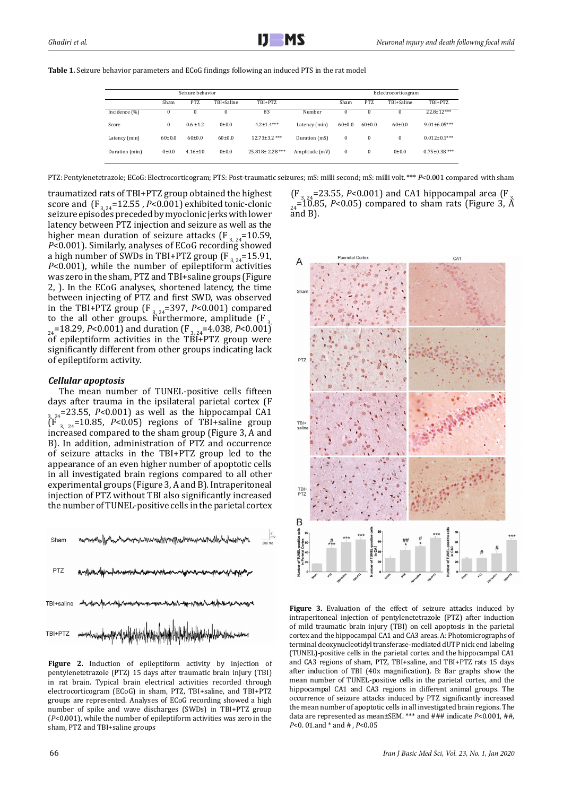| <b>Table 1.</b> Seizure behavior parameters and ECoG findings following an induced PTS in the rat model |  |  |  |
|---------------------------------------------------------------------------------------------------------|--|--|--|
|---------------------------------------------------------------------------------------------------------|--|--|--|

| Seizure behavior |              |               |            |                     | Eclectrocorticogram |          |              |            |                     |
|------------------|--------------|---------------|------------|---------------------|---------------------|----------|--------------|------------|---------------------|
|                  | Sham         | <b>PTZ</b>    | TBI+Saline | TBI+PTZ             |                     | Sham     | <b>PTZ</b>   | TBI+Saline | TBI+PTZ             |
| Incidence (%)    | 0            | $\bf{0}$      | $\bf{0}$   | 83                  | Number              | $\Omega$ | $\bf{0}$     | 0          | $22.8 + 12***$      |
| Score            | 0            | $0.6 \pm 1.2$ | 0.010      | $4.2 \pm 1.4***$    | Latency (min)       | $60+0.0$ | $60{\pm}0.0$ | $60+0.0$   | $9.01 \pm 6.05***$  |
| Latency (min)    | $60{\pm}0.0$ | $60+0.0$      | $60+0.0$   | $12.73 \pm 3.2$ *** | Duration (mS)       | 0        | $\bf{0}$     | $\bf{0}$   | $0.012 \pm 0.1***$  |
| Duration (min)   | 0.010        | $4.16 \pm 10$ | 0.010      | $25.818 + 2.28$ *** | Amplitude (mV)      | 0        | $\bf{0}$     | 0.010      | $0.75 \pm 0.38$ *** |

PTZ: Pentylenetetrazole; ECoG: Electrocorticogram; PTS: Post-traumatic seizures; mS: milli second; mS: milli volt. \*\*\* *P*<0.001 compared with sham

traumatized rats of TBI+PTZ group obtained the highest score and  $\left(F_{3,24}=12.55\right)$ , *P*<0.001) exhibited tonic-clonic seizure episodes preceded by myoclonic jerks with lower latency between PTZ injection and seizure as well as the higher mean duration of seizure attacks (F<sub>3, 24</sub>=10.59, *P*<0.001). Similarly, analyses of ECoG recording showed a high number of SWDs in TBI+PTZ group  $(F_{3, 24}=15.91)$ *P*<0.001), while the number of epileptiform activities was zero in the sham, PTZ and TBI+saline groups (Figure 2, ). In the ECoG analyses, shortened latency, the time between injecting of PTZ and first SWD, was observed in the TBI+PTZ group ( $F_{3, 24}$ =397, *P*<0.001) compared to the all other groups. Furthermore, amplitude  $[F_{3,3}]$  $_{24}$ =18.29, *P*<0.001) and duration (F<sub>3,24</sub>=4.038, *P*<0.001) of epileptiform activities in the TBI+PTZ group were significantly different from other groups indicating lack of epileptiform activity.

# *Cellular apoptosis*

The mean number of TUNEL-positive cells fifteen<br>days after trauma in the ipsilateral parietal cortex (F days after trauma in the ipsilateral parietal cortex (F 3, 24=23.55, *P<*0.001) as well as the hippocampal CA1  $\int_{3, 24}^{1}$ =10.85, *P*<0.05) regions of TBI+saline group increased compared to the sham group (Figure 3, A and B). In addition, administration of PTZ and occurrence of seizure attacks in the TBI+PTZ group led to the appearance of an even higher number of apoptotic cells in all investigated brain regions compared to all other experimental groups (Figure 3, A and B). Intraperitoneal injection of PTZ without TBI also significantly increased the number of TUNEL-positive cells in the parietal cortex **Neuronal injury and death following focal mild**



Figure 2. Induction of epileptiform activity by injection of pentylenetetrazole (PTZ) 15 days after traumatic brain injury (TBI) in rat brain. Typical brain electrical activities recorded through electrocorticogram (ECoG) in sham, PTZ, TBI+saline, and TBI+PTZ groups are represented. Analyses of ECoG recording showed a high number of spike and wave discharges (SWDs) in TBI+PTZ group (*P*<0.001), while the number of epileptiform activities was zero in the sham, PTZ and TBI+saline groups

 $(F_{3, 24} = 23.55, P < 0.001)$  and CA1 hippocampal area (F  $_{24}$ =10.85, *P*<0.05) compared to sham rats (Figure 3,  $\AA$ and B).



Figure 3. Evaluation of the effect of seizure attacks induced by intraperitoneal injection of pentylenetetrazole (PTZ) after induction of mild traumatic brain injury (TBI) on cell apoptosis in the parietal cortex and the hippocampal CA1 and CA3 areas. A: Photomicrographs of terminal deoxynucleotidyl transferase-mediated dUTP nick end labeling (TUNEL)-positive cells in the parietal cortex and the hippocampal CA1 and CA3 regions of sham, PTZ, TBI+saline, and TBI+PTZ rats 15 days after induction of TBI (40x magnification). B: Bar graphs show the mean number of TUNEL-positive cells in the parietal cortex, and the hippocampal CA1 and CA3 regions in different animal groups. The occurrence of seizure attacks induced by PTZ significantly increased the mean number of apoptotic cells in all investigated brain regions. The data are represented as mean±SEM. \*\*\* and ### indicate *P*<0.001, ##, *P*<0. 01.and \* and # , *P*<0.05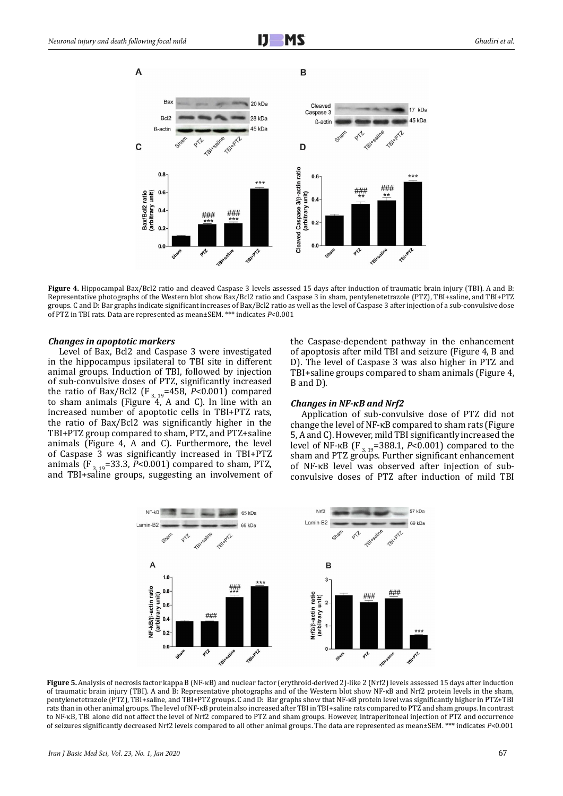

**Figure 4.** Hippocampal Bax/Bcl2 ratio and cleaved Caspase 3 levels assessed 15 days after induction of traumatic brain injury (TBI). A and B: Representative photographs of the Western blot show Bax/Bcl2 ratio and Caspase 3 in sham, pentylenetetrazole (PTZ), TBI+saline, and TBI+PTZ groups. C and D: Bar graphs indicate significant increases of Bax/Bcl2 ratio as well as the level of Caspase 3 after injection of a sub-convulsive dose of PTZ in TBI rats. Data are represented as mean±SEM. \*\*\* indicates *P*<0.001

#### *Changes in apoptotic markers*

Level of Bax, Bcl2 and Caspase 3 were investigated in the hippocampus ipsilateral to TBI site in different animal groups. Induction of TBI, followed by injection of sub-convulsive doses of PTZ, significantly increased the ratio of Bax/Bcl2 (F<sub>3, 19</sub>=458, *P*<0.001) compared to sham animals (Figure 4, A and C). In line with an increased number of apoptotic cells in TBI+PTZ rats, the ratio of Bax/Bcl2 was significantly higher in the TBI+PTZ group compared to sham, PTZ, and PTZ+saline animals (Figure 4, A and C). Furthermore, the level of Caspase 3 was significantly increased in TBI+PTZ animals (F<sub>3, 19</sub>=33.3,  $\bar{P}$ <0.001) compared to sham, PTZ, and TBI+saline groups, suggesting an involvement of

the Caspase-dependent pathway in the enhancement of apoptosis after mild TBI and seizure (Figure 4, B and D). The level of Caspase 3 was also higher in PTZ and TBI+saline groups compared to sham animals (Figure 4, B and D).

### *Changes in NF-κB and Nrf2*

Application of sub-convulsive dose of PTZ did not change the level of NF-κB compared to sham rats (Figure 5, A and C). However, mild TBI significantly increased the level of NF-κB (F<sub>3, 19</sub>=388.1, *P*<0.001) compared to the sham and PTZ groups. Further significant enhancement of NF-κB level was observed after injection of subconvulsive doses of PTZ after induction of mild TBI



**Figure 5.** Analysis of necrosis factor kappa B (NF-κB) and nuclear factor (erythroid-derived 2)-like 2 (Nrf2) levels assessed 15 days after induction of traumatic brain injury (TBI). A and B: Representative photographs and of the Western blot show NF-κB and Nrf2 protein levels in the sham, pentylenetetrazole (PTZ), TBI+saline, and TBI+PTZ groups. C and D: Bar graphs show that NF-κB protein level was significantly higher in PTZ+TBI rats than in other animal groups. The level of NF-κB protein also increased after TBI in TBI+saline rats compared to PTZ and sham groups. In contrast to NF-κB, TBI alone did not affect the level of Nrf2 compared to PTZ and sham groups. However, intraperitoneal injection of PTZ and occurrence of seizures significantly decreased Nrf2 levels compared to all other animal groups. The data are represented as mean±SEM. \*\*\* indicates *P*<0.001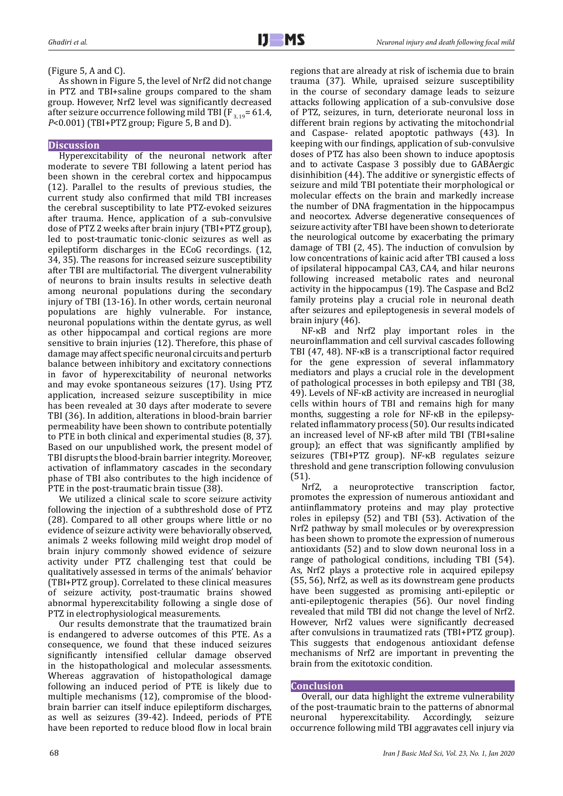(Figure 5, A and C).

As shown in Figure 5, the level of Nrf2 did not change in PTZ and TBI+saline groups compared to the sham group. However, Nrf2 level was significantly decreased after seizure occurrence following mild TBI ( $F_{3, 19}$ = 61.4, *P*<0.001) (TBI+PTZ group; Figure 5, B and D).

## **Discussion**

Hyperexcitability of the neuronal network after moderate to severe TBI following a latent period has been shown in the cerebral cortex and hippocampus (12). Parallel to the results of previous studies, the current study also confirmed that mild TBI increases the cerebral susceptibility to late PTZ-evoked seizures after trauma. Hence, application of a sub-convulsive dose of PTZ 2 weeks after brain injury (TBI+PTZ group), led to post-traumatic tonic-clonic seizures as well as epileptiform discharges in the ECoG recordings. (12, 34, 35). The reasons for increased seizure susceptibility after TBI are multifactorial. The divergent vulnerability of neurons to brain insults results in selective death among neuronal populations during the secondary injury of TBI (13-16). In other words, certain neuronal populations are highly vulnerable. For instance, neuronal populations within the dentate gyrus, as well as other hippocampal and cortical regions are more sensitive to brain injuries (12). Therefore, this phase of damage may affect specific neuronal circuits and perturb balance between inhibitory and excitatory connections in favor of hyperexcitability of neuronal networks and may evoke spontaneous seizures (17). Using PTZ application, increased seizure susceptibility in mice has been revealed at 30 days after moderate to severe TBI (36). In addition, alterations in blood-brain barrier permeability have been shown to contribute potentially to PTE in both clinical and experimental studies (8, 37). Based on our unpublished work, the present model of TBI disrupts the blood-brain barrier integrity. Moreover, activation of inflammatory cascades in the secondary phase of TBI also contributes to the high incidence of PTE in the post-traumatic brain tissue (38).

We utilized a clinical scale to score seizure activity following the injection of a subthreshold dose of PTZ (28). Compared to all other groups where little or no evidence of seizure activity were behaviorally observed, animals 2 weeks following mild weight drop model of brain injury commonly showed evidence of seizure activity under PTZ challenging test that could be qualitatively assessed in terms of the animals' behavior (TBI+PTZ group). Correlated to these clinical measures of seizure activity, post-traumatic brains showed abnormal hyperexcitability following a single dose of PTZ in electrophysiological measurements.

Our results demonstrate that the traumatized brain is endangered to adverse outcomes of this PTE. As a consequence, we found that these induced seizures significantly intensified cellular damage observed in the histopathological and molecular assessments. Whereas aggravation of histopathological damage following an induced period of PTE is likely due to multiple mechanisms (12), compromise of the bloodbrain barrier can itself induce epileptiform discharges, as well as seizures (39-42). Indeed, periods of PTE have been reported to reduce blood flow in local brain

regions that are already at risk of ischemia due to brain trauma (37). While, upraised seizure susceptibility in the course of secondary damage leads to seizure attacks following application of a sub-convulsive dose of PTZ, seizures, in turn, deteriorate neuronal loss in different brain regions by activating the mitochondrial and Caspase- related apoptotic pathways (43). In keeping with our findings, application of sub-convulsive doses of PTZ has also been shown to induce apoptosis and to activate Caspase 3 possibly due to GABAergic disinhibition (44). The additive or synergistic effects of seizure and mild TBI potentiate their morphological or molecular effects on the brain and markedly increase the number of DNA fragmentation in the hippocampus and neocortex. Adverse degenerative consequences of seizure activity after TBI have been shown to deteriorate the neurological outcome by exacerbating the primary damage of TBI (2, 45). The induction of convulsion by low concentrations of kainic acid after TBI caused a loss of ipsilateral hippocampal CA3, CA4, and hilar neurons following increased metabolic rates and neuronal activity in the hippocampus (19). The Caspase and Bcl2 family proteins play a crucial role in neuronal death after seizures and epileptogenesis in several models of

brain injury (46). NF-κB and Nrf2 play important roles in the neuroinflammation and cell survival cascades following TBI (47, 48). NF-κB is a transcriptional factor required for the gene expression of several inflammatory mediators and plays a crucial role in the development of pathological processes in both epilepsy and TBI (38, 49). Levels of NF-κB activity are increased in neuroglial cells within hours of TBI and remains high for many months, suggesting a role for NF-κB in the epilepsyrelated inflammatory process (50). Our results indicated an increased level of NF-κB after mild TBI (TBI+saline group); an effect that was significantly amplified by seizures (TBI+PTZ group). NF-κB regulates seizure threshold and gene transcription following convulusion

(51).<br>Nrf2. a neuroprotective transcription factor, promotes the expression of numerous antioxidant and antiinflammatory proteins and may play protective roles in epilepsy (52) and TBI (53). Activation of the Nrf2 pathway by small molecules or by overexpression has been shown to promote the expression of numerous antioxidants (52) and to slow down neuronal loss in a range of pathological conditions, including TBI (54). As, Nrf2 plays a protective role in acquired epilepsy (55, 56), Nrf2, as well as its downstream gene products have been suggested as promising anti-epileptic or anti-epileptogenic therapies (56). Our novel finding revealed that mild TBI did not change the level of Nrf2. However, Nrf2 values were significantly decreased after convulsions in traumatized rats (TBI+PTZ group). This suggests that endogenous antioxidant defense mechanisms of Nrf2 are important in preventing the brain from the exitotoxic condition.

### **Conclusion**

Overall, our data highlight the extreme vulnerability of the post-traumatic brain to the patterns of abnormal<br>neuronal hyperexcitability. Accordingly, seizure hyperexcitability. occurrence following mild TBI aggravates cell injury via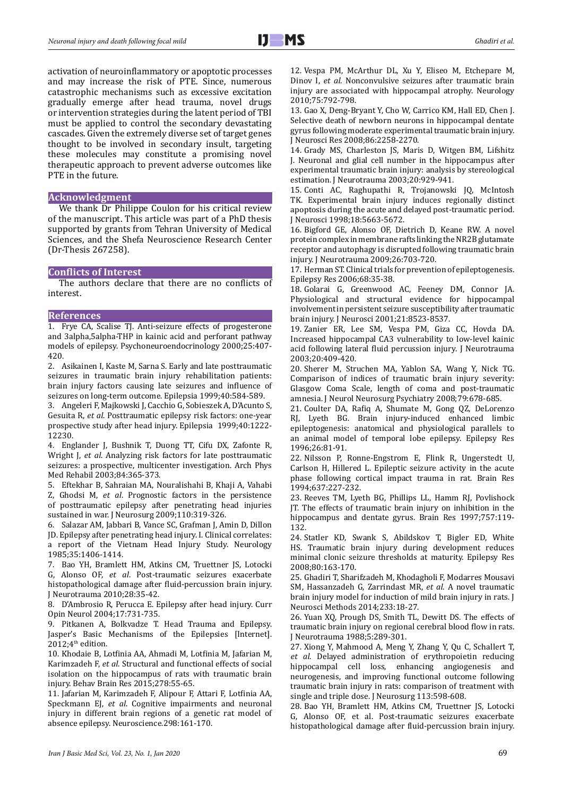activation of neuroinflammatory or apoptotic processes and may increase the risk of PTE. Since, numerous catastrophic mechanisms such as excessive excitation gradually emerge after head trauma, novel drugs or intervention strategies during the latent period of TBI must be applied to control the secondary devastating cascades. Given the extremely diverse set of target genes thought to be involved in secondary insult, targeting these molecules may constitute a promising novel therapeutic approach to prevent adverse outcomes like PTE in the future.

### **Acknowledgment**

We thank Dr Philippe Coulon for his critical review of the manuscript. This article was part of a PhD thesis supported by grants from Tehran University of Medical Sciences, and the Shefa Neuroscience Research Center (Dr-Thesis 267258).

### **Conflicts of Interest**

The authors declare that there are no conflicts of interest.

### **References**

1. Frye CA, Scalise TJ. Anti-seizure effects of progesterone and 3alpha,5alpha-THP in kainic acid and perforant pathway models of epilepsy. Psychoneuroendocrinology 2000;25:407- 420.

2. Asikainen I, Kaste M, Sarna S. Early and late posttraumatic seizures in traumatic brain injury rehabilitation patients: brain injury factors causing late seizures and influence of seizures on long-term outcome. Epilepsia 1999;40:584-589.

3. Angeleri F, Majkowski J, Cacchio G, Sobieszek A, D'Acunto S, Gesuita R, *et al*. Posttraumatic epilepsy risk factors: one-year prospective study after head injury. Epilepsia 1999;40:1222- 12230.

4. Englander J, Bushnik T, Duong TT, Cifu DX, Zafonte R, Wright J, *et al*. Analyzing risk factors for late posttraumatic seizures: a prospective, multicenter investigation. Arch Phys Med Rehabil 2003;84:365-373.

5. Eftekhar B, Sahraian MA, Nouralishahi B, Khaji A, Vahabi Z, Ghodsi M, *et al*. Prognostic factors in the persistence of posttraumatic epilepsy after penetrating head injuries sustained in war. J Neurosurg 2009;110:319-326.

6. Salazar AM, Jabbari B, Vance SC, Grafman J, Amin D, Dillon JD. Epilepsy after penetrating head injury. I. Clinical correlates: a report of the Vietnam Head Injury Study. Neurology 1985;35:1406-1414.

7. Bao YH, Bramlett HM, Atkins CM, Truettner JS, Lotocki G, Alonso OF, *et al*. Post-traumatic seizures exacerbate histopathological damage after fluid-percussion brain injury. J Neurotrauma 2010;28:35-42.

8. D'Ambrosio R, Perucca E. Epilepsy after head injury. Curr Opin Neurol 2004;17:731-735.

9. Pitkanen A, Bolkvadze T. Head Trauma and Epilepsy. Jasper's Basic Mechanisms of the Epilepsies [Internet]. 2012; $4<sup>th</sup>$  edition.

10. Khodaie B, Lotfinia AA, Ahmadi M, Lotfinia M, Jafarian M, Karimzadeh F, *et al*. Structural and functional effects of social isolation on the hippocampus of rats with traumatic brain injury. Behav Brain Res 2015;278:55-65.

11. Jafarian M, Karimzadeh F, Alipour F, Attari F, Lotfinia AA, Speckmann EJ, *et al*. Cognitive impairments and neuronal injury in different brain regions of a genetic rat model of absence epilepsy. Neuroscience.298:161-170.

12. Vespa PM, McArthur DL, Xu Y, Eliseo M, Etchepare M, Dinov I, *et al.* Nonconvulsive seizures after traumatic brain injury are associated with hippocampal atrophy. Neurology 2010;75:792-798.

13. Gao X, Deng-Bryant Y, Cho W, Carrico KM, Hall ED, Chen J. Selective death of newborn neurons in hippocampal dentate gyrus following moderate experimental traumatic brain injury. J Neurosci Res 2008;86:2258-2270.

14. Grady MS, Charleston JS, Maris D, Witgen BM, Lifshitz J. Neuronal and glial cell number in the hippocampus after experimental traumatic brain injury: analysis by stereological estimation. J Neurotrauma 2003;20:929-941.

15. Conti AC, Raghupathi R, Trojanowski JQ, McIntosh TK. Experimental brain injury induces regionally distinct apoptosis during the acute and delayed post-traumatic period. J Neurosci 1998;18:5663-5672.

16. Bigford GE, Alonso OF, Dietrich D, Keane RW. A novel protein complex in membrane rafts linking the NR2B glutamate receptor and autophagy is disrupted following traumatic brain injury. J Neurotrauma 2009;26:703-720.

17. Herman ST. Clinical trials for prevention of epileptogenesis. Epilepsy Res 2006;68:35-38.

18. Golarai G, Greenwood AC, Feeney DM, Connor JA. Physiological and structural evidence for hippocampal involvement in persistent seizure susceptibility after traumatic brain injury. J Neurosci 2001;21:8523-8537.

19. Zanier ER, Lee SM, Vespa PM, Giza CC, Hovda DA. Increased hippocampal CA3 vulnerability to low-level kainic acid following lateral fluid percussion injury. J Neurotrauma 2003;20:409-420.

20. Sherer M, Struchen MA, Yablon SA, Wang Y, Nick TG. Comparison of indices of traumatic brain injury severity: Glasgow Coma Scale, length of coma and post-traumatic amnesia. J Neurol Neurosurg Psychiatry 2008;79:678-685.

21. Coulter DA, Rafiq A, Shumate M, Gong QZ, DeLorenzo RJ, Lyeth BG. Brain injury-induced enhanced limbic epileptogenesis: anatomical and physiological parallels to an animal model of temporal lobe epilepsy. Epilepsy Res 1996;26:81-91.

22. Nilsson P, Ronne-Engstrom E, Flink R, Ungerstedt U, Carlson H, Hillered L. Epileptic seizure activity in the acute phase following cortical impact trauma in rat. Brain Res 1994;637:227-232.

23. Reeves TM, Lyeth BG, Phillips LL, Hamm RJ, Povlishock JT. The effects of traumatic brain injury on inhibition in the hippocampus and dentate gyrus. Brain Res 1997:757:119-132.

24. Statler KD, Swank S, Abildskov T, Bigler ED, White HS. Traumatic brain injury during development reduces minimal clonic seizure thresholds at maturity. Epilepsy Res 2008;80:163-170.

25. Ghadiri T, Sharifzadeh M, Khodagholi F, Modarres Mousavi SM, Hassanzadeh G, Zarrindast MR, *et al*. A novel traumatic brain injury model for induction of mild brain injury in rats. J Neurosci Methods 2014;233:18-27.

26. Yuan XQ, Prough DS, Smith TL, Dewitt DS. The effects of traumatic brain injury on regional cerebral blood flow in rats. J Neurotrauma 1988;5:289-301.

27. Xiong Y, Mahmood A, Meng Y, Zhang Y, Qu C, Schallert T, *et al*. Delayed administration of erythropoietin reducing hippocampal cell loss, enhancing angiogenesis and neurogenesis, and improving functional outcome following traumatic brain injury in rats: comparison of treatment with single and triple dose. J Neurosurg 113:598-608.

28. Bao YH, Bramlett HM, Atkins CM, Truettner JS, Lotocki G, Alonso OF, et al. Post-traumatic seizures exacerbate histopathological damage after fluid-percussion brain injury.